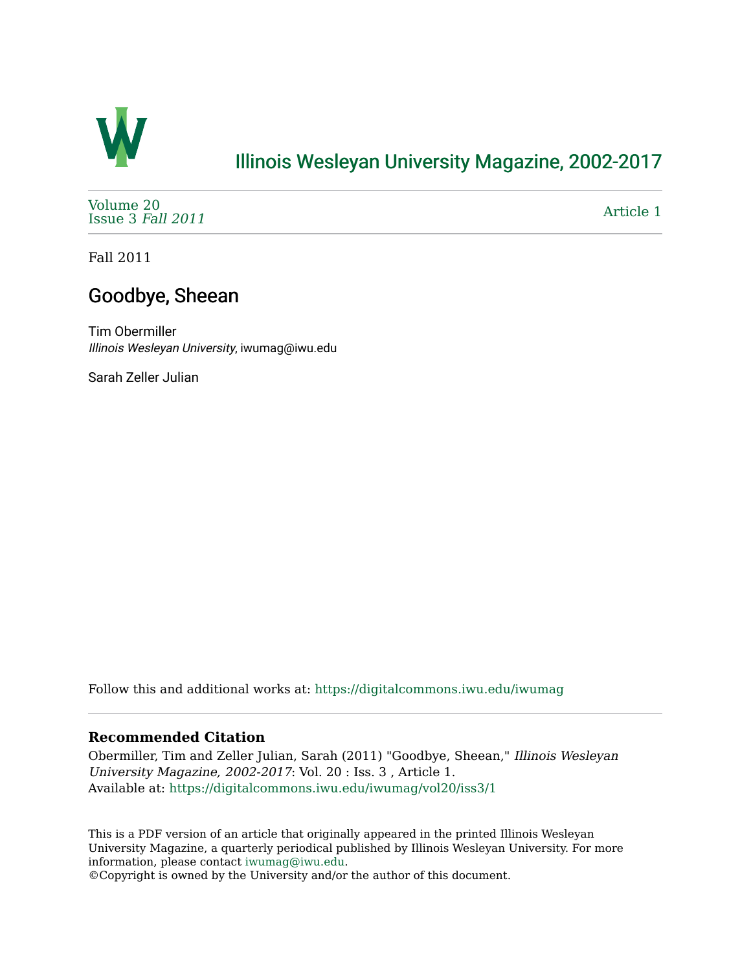

## [Illinois Wesleyan University Magazine, 2002-2017](https://digitalcommons.iwu.edu/iwumag)

[Volume 20](https://digitalcommons.iwu.edu/iwumag/vol20)  [Issue 3](https://digitalcommons.iwu.edu/iwumag/vol20/iss3) Fall 2011

[Article 1](https://digitalcommons.iwu.edu/iwumag/vol20/iss3/1) 

Fall 2011

### Goodbye, Sheean

Tim Obermiller Illinois Wesleyan University, iwumag@iwu.edu

Sarah Zeller Julian

Follow this and additional works at: [https://digitalcommons.iwu.edu/iwumag](https://digitalcommons.iwu.edu/iwumag?utm_source=digitalcommons.iwu.edu%2Fiwumag%2Fvol20%2Fiss3%2F1&utm_medium=PDF&utm_campaign=PDFCoverPages) 

#### **Recommended Citation**

Obermiller, Tim and Zeller Julian, Sarah (2011) "Goodbye, Sheean," Illinois Wesleyan University Magazine, 2002-2017: Vol. 20 : Iss. 3 , Article 1. Available at: [https://digitalcommons.iwu.edu/iwumag/vol20/iss3/1](https://digitalcommons.iwu.edu/iwumag/vol20/iss3/1?utm_source=digitalcommons.iwu.edu%2Fiwumag%2Fvol20%2Fiss3%2F1&utm_medium=PDF&utm_campaign=PDFCoverPages)

This is a PDF version of an article that originally appeared in the printed Illinois Wesleyan University Magazine, a quarterly periodical published by Illinois Wesleyan University. For more information, please contact [iwumag@iwu.edu](mailto:iwumag@iwu.edu).

©Copyright is owned by the University and/or the author of this document.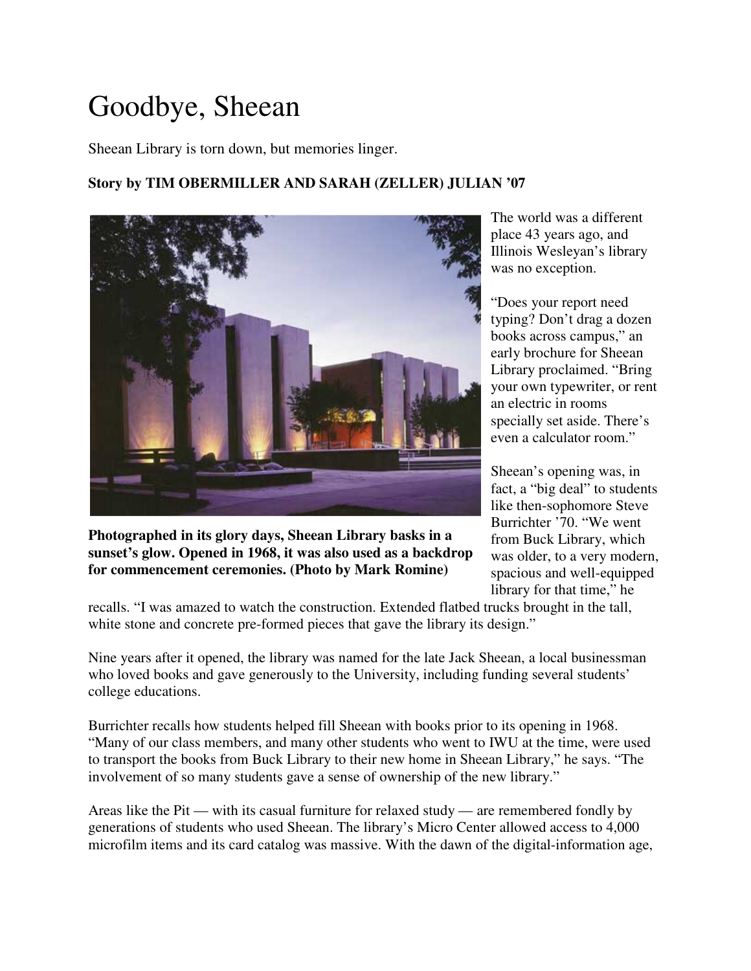# Goodbye, Sheean

Sheean Library is torn down, but memories linger.

#### **Story by TIM OBERMILLER AND SARAH (ZELLER) JULIAN '07**



**Photographed in its glory days, Sheean Library basks in a sunset's glow. Opened in 1968, it was also used as a backdrop for commencement ceremonies. (Photo by Mark Romine)**

The world was a different place 43 years ago, and Illinois Wesleyan's library was no exception.

"Does your report need typing? Don't drag a dozen books across campus," an early brochure for Sheean Library proclaimed. "Bring your own typewriter, or rent an electric in rooms specially set aside. There's even a calculator room."

Sheean's opening was, in fact, a "big deal" to students like then-sophomore Steve Burrichter '70. "We went from Buck Library, which was older, to a very modern, spacious and well-equipped library for that time," he

recalls. "I was amazed to watch the construction. Extended flatbed trucks brought in the tall, white stone and concrete pre-formed pieces that gave the library its design."

Nine years after it opened, the library was named for the late Jack Sheean, a local businessman who loved books and gave generously to the University, including funding several students' college educations.

Burrichter recalls how students helped fill Sheean with books prior to its opening in 1968. "Many of our class members, and many other students who went to IWU at the time, were used to transport the books from Buck Library to their new home in Sheean Library," he says. "The involvement of so many students gave a sense of ownership of the new library."

Areas like the Pit — with its casual furniture for relaxed study — are remembered fondly by generations of students who used Sheean. The library's Micro Center allowed access to 4,000 microfilm items and its card catalog was massive. With the dawn of the digital-information age,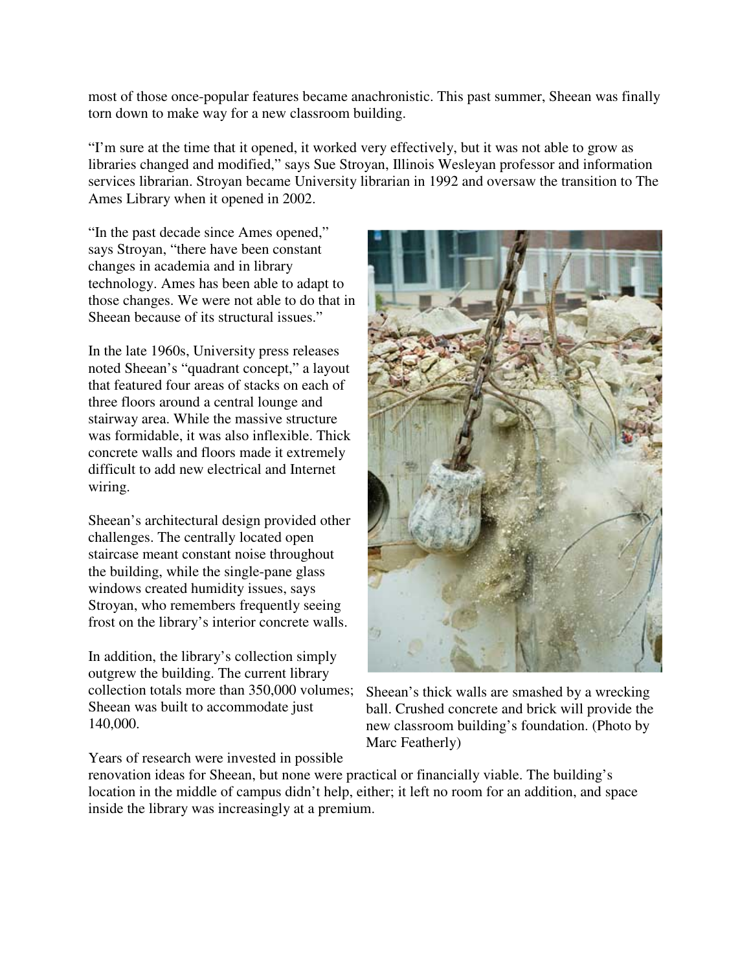most of those once-popular features became anachronistic. This past summer, Sheean was finally torn down to make way for a new classroom building.

"I'm sure at the time that it opened, it worked very effectively, but it was not able to grow as libraries changed and modified," says Sue Stroyan, Illinois Wesleyan professor and information services librarian. Stroyan became University librarian in 1992 and oversaw the transition to The Ames Library when it opened in 2002.

"In the past decade since Ames opened," says Stroyan, "there have been constant changes in academia and in library technology. Ames has been able to adapt to those changes. We were not able to do that in Sheean because of its structural issues."

In the late 1960s, University press releases noted Sheean's "quadrant concept," a layout that featured four areas of stacks on each of three floors around a central lounge and stairway area. While the massive structure was formidable, it was also inflexible. Thick concrete walls and floors made it extremely difficult to add new electrical and Internet wiring.

Sheean's architectural design provided other challenges. The centrally located open staircase meant constant noise throughout the building, while the single-pane glass windows created humidity issues, says Stroyan, who remembers frequently seeing frost on the library's interior concrete walls.

In addition, the library's collection simply outgrew the building. The current library collection totals more than 350,000 volumes; Sheean was built to accommodate just 140,000.



Sheean's thick walls are smashed by a wrecking ball. Crushed concrete and brick will provide the new classroom building's foundation. (Photo by Marc Featherly)

Years of research were invested in possible

renovation ideas for Sheean, but none were practical or financially viable. The building's location in the middle of campus didn't help, either; it left no room for an addition, and space inside the library was increasingly at a premium.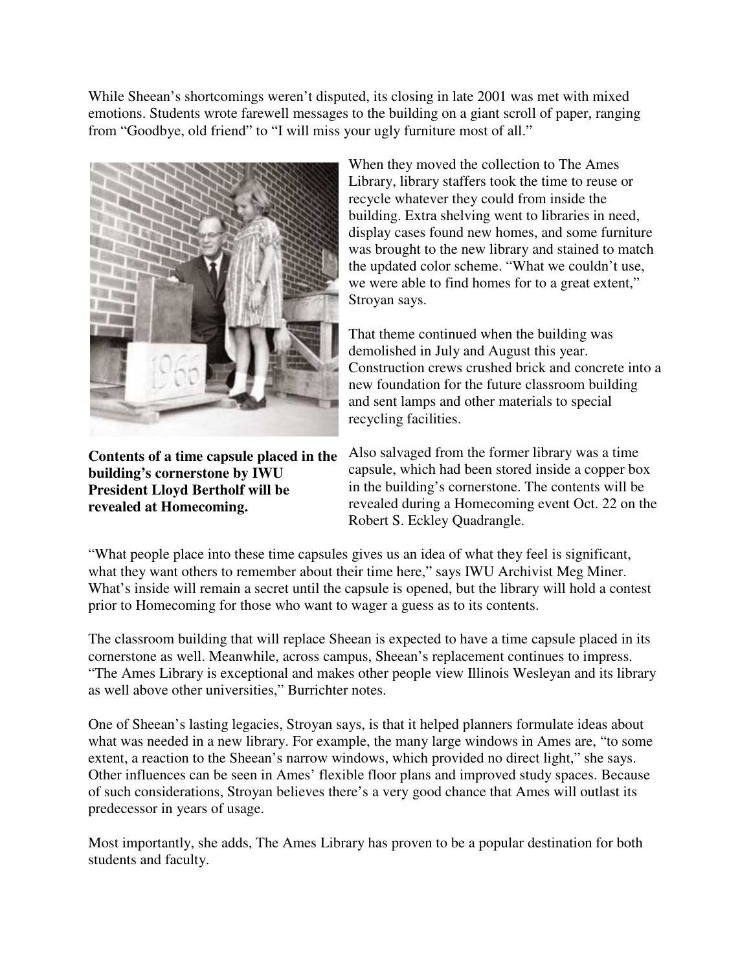While Sheean's shortcomings weren't disputed, its closing in late 2001 was met with mixed emotions. Students wrote farewell messages to the building on a giant scroll of paper, ranging from "Goodbye, old friend" to "I will miss your ugly furniture most of all."



**Contents of a time capsule placed in the building's cornerstone by IWU President Lloyd Bertholf will be revealed at Homecoming.**

When they moved the collection to The Ames Library, library staffers took the time to reuse or recycle whatever they could from inside the building. Extra shelving went to libraries in need, display cases found new homes, and some furniture was brought to the new library and stained to match the updated color scheme. "What we couldn't use, we were able to find homes for to a great extent," Stroyan says.

That theme continued when the building was demolished in July and August this year. Construction crews crushed brick and concrete into a new foundation for the future classroom building and sent lamps and other materials to special recycling facilities.

Also salvaged from the former library was a time capsule, which had been stored inside a copper box in the building's cornerstone. The contents will be revealed during a Homecoming event Oct. 22 on the Robert S. Eckley Quadrangle.

"What people place into these time capsules gives us an idea of what they feel is significant, what they want others to remember about their time here," says IWU Archivist Meg Miner. What's inside will remain a secret until the capsule is opened, but the library will hold a contest prior to Homecoming for those who want to wager a guess as to its contents.

The classroom building that will replace Sheean is expected to have a time capsule placed in its cornerstone as well. Meanwhile, across campus, Sheean's replacement continues to impress. "The Ames Library is exceptional and makes other people view Illinois Wesleyan and its library as well above other universities," Burrichter notes.

One of Sheean's lasting legacies, Stroyan says, is that it helped planners formulate ideas about what was needed in a new library. For example, the many large windows in Ames are, "to some extent, a reaction to the Sheean's narrow windows, which provided no direct light," she says. Other influences can be seen in Ames' flexible floor plans and improved study spaces. Because of such considerations, Stroyan believes there's a very good chance that Ames will outlast its predecessor in years of usage.

Most importantly, she adds, The Ames Library has proven to be a popular destination for both students and faculty.